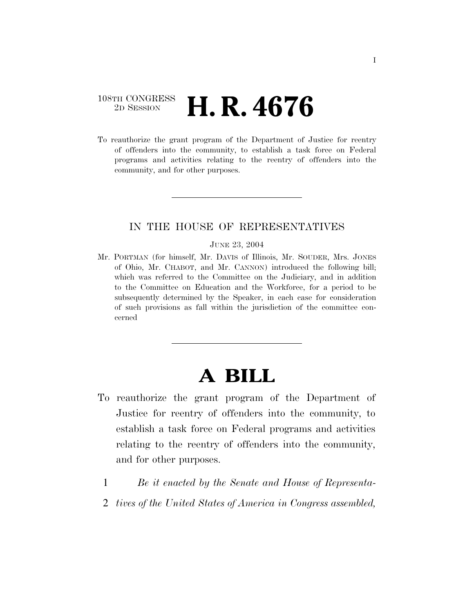### 108TH CONGRESS <sup>2D SESSION</sup> **H. R. 4676**

To reauthorize the grant program of the Department of Justice for reentry of offenders into the community, to establish a task force on Federal programs and activities relating to the reentry of offenders into the community, and for other purposes.

### IN THE HOUSE OF REPRESENTATIVES

#### JUNE 23, 2004

Mr. PORTMAN (for himself, Mr. DAVIS of Illinois, Mr. SOUDER, Mrs. JONES of Ohio, Mr. CHABOT, and Mr. CANNON) introduced the following bill; which was referred to the Committee on the Judiciary, and in addition to the Committee on Education and the Workforce, for a period to be subsequently determined by the Speaker, in each case for consideration of such provisions as fall within the jurisdiction of the committee concerned

# **A BILL**

- To reauthorize the grant program of the Department of Justice for reentry of offenders into the community, to establish a task force on Federal programs and activities relating to the reentry of offenders into the community, and for other purposes.
- 1 *Be it enacted by the Senate and House of Representa-*
- 2 *tives of the United States of America in Congress assembled,*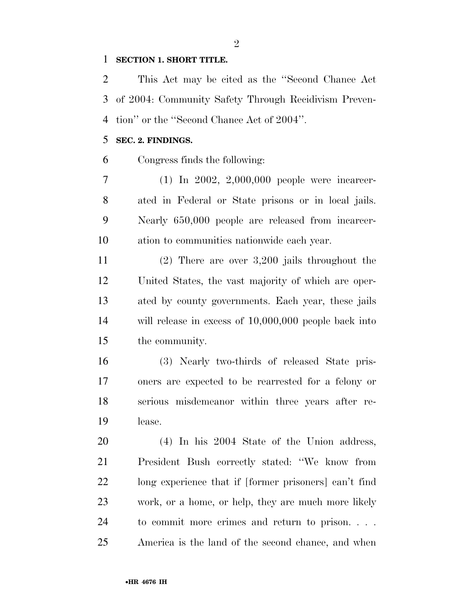#### **SECTION 1. SHORT TITLE.**

 This Act may be cited as the ''Second Chance Act of 2004: Community Safety Through Recidivism Preven-tion'' or the ''Second Chance Act of 2004''.

### **SEC. 2. FINDINGS.**

Congress finds the following:

 (1) In 2002, 2,000,000 people were incarcer- ated in Federal or State prisons or in local jails. Nearly 650,000 people are released from incarcer-ation to communities nationwide each year.

 (2) There are over 3,200 jails throughout the United States, the vast majority of which are oper- ated by county governments. Each year, these jails will release in excess of 10,000,000 people back into the community.

 (3) Nearly two-thirds of released State pris- oners are expected to be rearrested for a felony or serious misdemeanor within three years after re-lease.

 (4) In his 2004 State of the Union address, President Bush correctly stated: ''We know from long experience that if [former prisoners] can't find work, or a home, or help, they are much more likely to commit more crimes and return to prison. . . . America is the land of the second chance, and when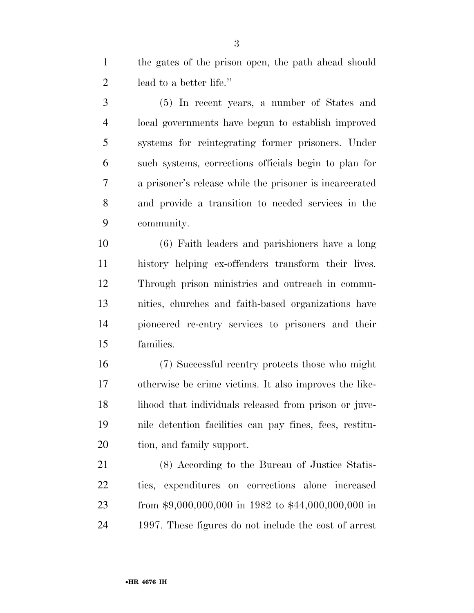the gates of the prison open, the path ahead should lead to a better life.''

 (5) In recent years, a number of States and local governments have begun to establish improved systems for reintegrating former prisoners. Under such systems, corrections officials begin to plan for a prisoner's release while the prisoner is incarcerated and provide a transition to needed services in the community.

 (6) Faith leaders and parishioners have a long history helping ex-offenders transform their lives. Through prison ministries and outreach in commu- nities, churches and faith-based organizations have pioneered re-entry services to prisoners and their families.

 (7) Successful reentry protects those who might otherwise be crime victims. It also improves the like-18 lihood that individuals released from prison or juve- nile detention facilities can pay fines, fees, restitu-tion, and family support.

 (8) According to the Bureau of Justice Statis- tics, expenditures on corrections alone increased from \$9,000,000,000 in 1982 to \$44,000,000,000 in 1997. These figures do not include the cost of arrest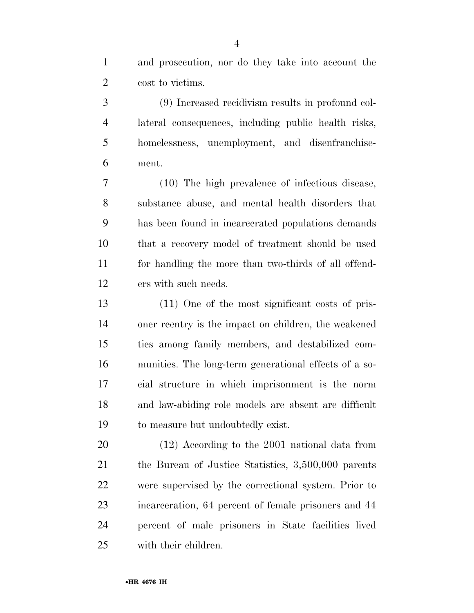and prosecution, nor do they take into account the cost to victims.

 (9) Increased recidivism results in profound col- lateral consequences, including public health risks, homelessness, unemployment, and disenfranchise-ment.

 (10) The high prevalence of infectious disease, substance abuse, and mental health disorders that has been found in incarcerated populations demands that a recovery model of treatment should be used for handling the more than two-thirds of all offend-ers with such needs.

 (11) One of the most significant costs of pris- oner reentry is the impact on children, the weakened ties among family members, and destabilized com- munities. The long-term generational effects of a so- cial structure in which imprisonment is the norm and law-abiding role models are absent are difficult to measure but undoubtedly exist.

 (12) According to the 2001 national data from the Bureau of Justice Statistics, 3,500,000 parents were supervised by the correctional system. Prior to incarceration, 64 percent of female prisoners and 44 percent of male prisoners in State facilities lived with their children.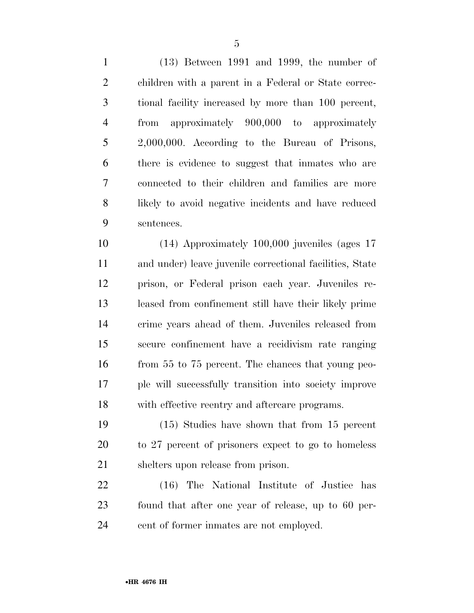(13) Between 1991 and 1999, the number of children with a parent in a Federal or State correc- tional facility increased by more than 100 percent, from approximately 900,000 to approximately 2,000,000. According to the Bureau of Prisons, there is evidence to suggest that inmates who are connected to their children and families are more likely to avoid negative incidents and have reduced sentences.

 (14) Approximately 100,000 juveniles (ages 17 and under) leave juvenile correctional facilities, State prison, or Federal prison each year. Juveniles re- leased from confinement still have their likely prime crime years ahead of them. Juveniles released from secure confinement have a recidivism rate ranging from 55 to 75 percent. The chances that young peo- ple will successfully transition into society improve with effective reentry and aftercare programs.

 (15) Studies have shown that from 15 percent to 27 percent of prisoners expect to go to homeless shelters upon release from prison.

 (16) The National Institute of Justice has found that after one year of release, up to 60 per-cent of former inmates are not employed.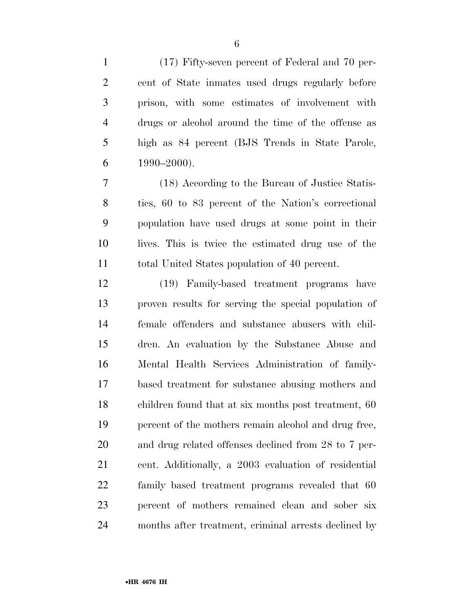(17) Fifty-seven percent of Federal and 70 per- cent of State inmates used drugs regularly before prison, with some estimates of involvement with drugs or alcohol around the time of the offense as high as 84 percent (BJS Trends in State Parole,  $6 \qquad 1990 - 2000$ ).

 (18) According to the Bureau of Justice Statis- tics, 60 to 83 percent of the Nation's correctional population have used drugs at some point in their lives. This is twice the estimated drug use of the total United States population of 40 percent.

 (19) Family-based treatment programs have proven results for serving the special population of female offenders and substance abusers with chil- dren. An evaluation by the Substance Abuse and Mental Health Services Administration of family- based treatment for substance abusing mothers and children found that at six months post treatment, 60 percent of the mothers remain alcohol and drug free, and drug related offenses declined from 28 to 7 per- cent. Additionally, a 2003 evaluation of residential family based treatment programs revealed that 60 percent of mothers remained clean and sober six months after treatment, criminal arrests declined by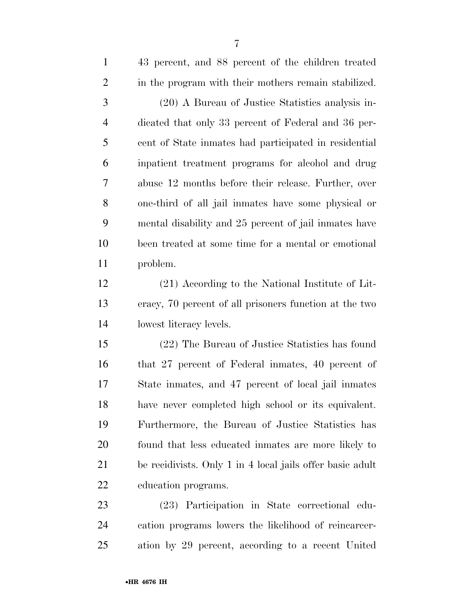| $\mathbf{1}$   | 43 percent, and 88 percent of the children treated        |
|----------------|-----------------------------------------------------------|
| $\overline{2}$ | in the program with their mothers remain stabilized.      |
| 3              | (20) A Bureau of Justice Statistics analysis in-          |
| $\overline{4}$ | dicated that only 33 percent of Federal and 36 per-       |
| 5              | cent of State inmates had participated in residential     |
| 6              | inpatient treatment programs for alcohol and drug         |
| 7              | abuse 12 months before their release. Further, over       |
| 8              | one-third of all jail inmates have some physical or       |
| 9              | mental disability and 25 percent of jail inmates have     |
| 10             | been treated at some time for a mental or emotional       |
| 11             | problem.                                                  |
| 12             | (21) According to the National Institute of Lit-          |
| 13             | eracy, 70 percent of all prisoners function at the two    |
| 14             | lowest literacy levels.                                   |
| 15             | (22) The Bureau of Justice Statistics has found           |
| 16             | that 27 percent of Federal inmates, 40 percent of         |
| 17             | State inmates, and 47 percent of local jail inmates       |
| 18             | have never completed high school or its equivalent.       |
| 19             | Furthermore, the Bureau of Justice Statistics has         |
| 20             | found that less educated inmates are more likely to       |
| 21             | be recidivists. Only 1 in 4 local jails offer basic adult |
| 22             | education programs.                                       |
| 23             | (23) Participation in State correctional edu-             |
| 24             | cation programs lowers the likelihood of reincarcer-      |

ation by 29 percent, according to a recent United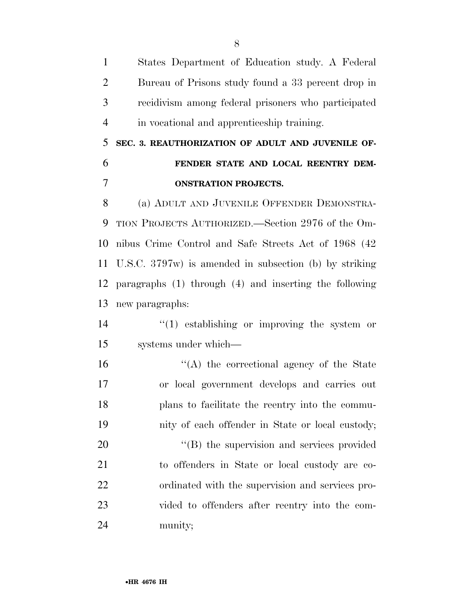States Department of Education study. A Federal Bureau of Prisons study found a 33 percent drop in recidivism among federal prisoners who participated in vocational and apprenticeship training.

## **SEC. 3. REAUTHORIZATION OF ADULT AND JUVENILE OF- FENDER STATE AND LOCAL REENTRY DEM-ONSTRATION PROJECTS.**

 (a) ADULT AND JUVENILE OFFENDER DEMONSTRA- TION PROJECTS AUTHORIZED.—Section 2976 of the Om- nibus Crime Control and Safe Streets Act of 1968 (42 U.S.C. 3797w) is amended in subsection (b) by striking paragraphs (1) through (4) and inserting the following new paragraphs:

 ''(1) establishing or improving the system or systems under which—

 ''(A) the correctional agency of the State or local government develops and carries out plans to facilitate the reentry into the commu-nity of each offender in State or local custody;

 $\langle$  (B) the supervision and services provided to offenders in State or local custody are co- ordinated with the supervision and services pro- vided to offenders after reentry into the com-munity;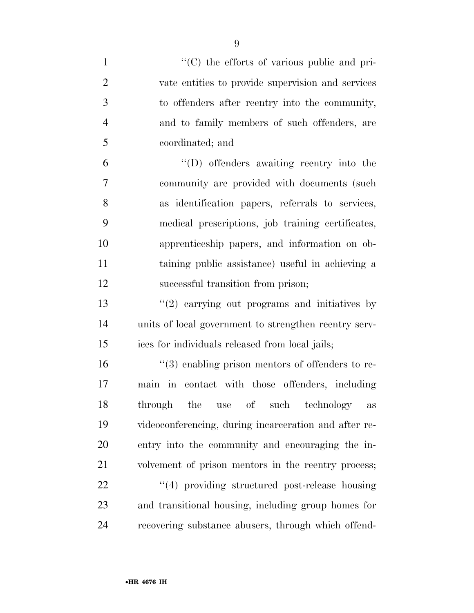$\langle ^{\prime}(C) \rangle$  the efforts of various public and pri- vate entities to provide supervision and services to offenders after reentry into the community, and to family members of such offenders, are coordinated; and ''(D) offenders awaiting reentry into the community are provided with documents (such as identification papers, referrals to services, medical prescriptions, job training certificates, apprenticeship papers, and information on ob- taining public assistance) useful in achieving a successful transition from prison; 13 ''(2) carrying out programs and initiatives by units of local government to strengthen reentry serv- ices for individuals released from local jails;  $\frac{16}{3}$  enabling prison mentors of offenders to re- main in contact with those offenders, including through the use of such technology as videoconferencing, during incarceration and after re- entry into the community and encouraging the in- volvement of prison mentors in the reentry process; 22 "(4) providing structured post-release housing and transitional housing, including group homes for recovering substance abusers, through which offend-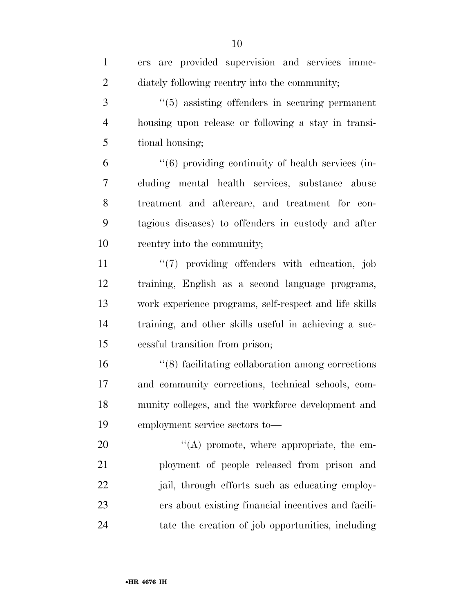| $\mathbf{1}$   | ers are provided supervision and services imme-                   |
|----------------|-------------------------------------------------------------------|
| $\overline{2}$ | diately following reentry into the community;                     |
| 3              | $\cdot\cdot$ (5) assisting offenders in securing permanent        |
| $\overline{4}$ | housing upon release or following a stay in transi-               |
| 5              | tional housing;                                                   |
| 6              | $\cdot\cdot\cdot(6)$ providing continuity of health services (in- |
| 7              | cluding mental health services, substance abuse                   |
| 8              | treatment and aftercare, and treatment for con-                   |
| 9              | tagious diseases) to offenders in custody and after               |
| 10             | reentry into the community;                                       |
| 11             | $\lq(7)$ providing offenders with education, job                  |
| 12             | training, English as a second language programs,                  |
| 13             | work experience programs, self-respect and life skills            |
| 14             | training, and other skills useful in achieving a suc-             |
| 15             | cessful transition from prison;                                   |
| 16             | $\cdot$ (8) facilitating collaboration among corrections          |
| 17             | and community corrections, technical schools, com-                |
| 18             | munity colleges, and the workforce development and                |
| 19             | employment service sectors to—                                    |
| 20             | "(A) promote, where appropriate, the em-                          |
| 21             | ployment of people released from prison and                       |
| 22             | jail, through efforts such as educating employ-                   |
| 23             | ers about existing financial incentives and facili-               |
| 24             | tate the creation of job opportunities, including                 |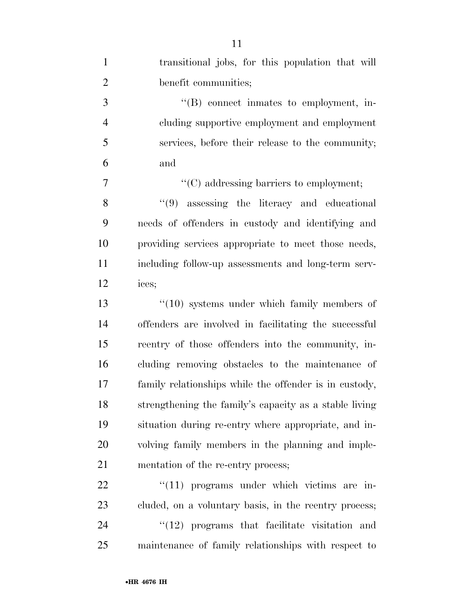| $\mathbf{1}$   | transitional jobs, for this population that will       |
|----------------|--------------------------------------------------------|
| $\overline{2}$ | benefit communities;                                   |
| 3              | "(B) connect inmates to employment, in-                |
| $\overline{4}$ | cluding supportive employment and employment           |
| 5              | services, before their release to the community;       |
| 6              | and                                                    |
| 7              | $\lq\lq$ (C) addressing barriers to employment;        |
| 8              | $(9)$ assessing the literacy and educational           |
| 9              | needs of offenders in custody and identifying and      |
| 10             | providing services appropriate to meet those needs,    |
| 11             | including follow-up assessments and long-term serv-    |
| 12             | ices;                                                  |
| 13             | $\cdot$ (10) systems under which family members of     |
| 14             | offenders are involved in facilitating the successful  |
| 15             | reentry of those offenders into the community, in-     |
| 16             | cluding removing obstacles to the maintenance of       |
| 17             | family relationships while the offender is in custody, |
| 18             | strengthening the family's capacity as a stable living |
| 19             | situation during re-entry where appropriate, and in-   |
| 20             | volving family members in the planning and imple-      |
| 21             | mentation of the re-entry process;                     |
| 22             | $\lq(11)$ programs under which victims are in-         |
| 23             | cluded, on a voluntary basis, in the reentry process;  |
| 24             | $"(12)$ programs that facilitate visitation and        |
| 25             | maintenance of family relationships with respect to    |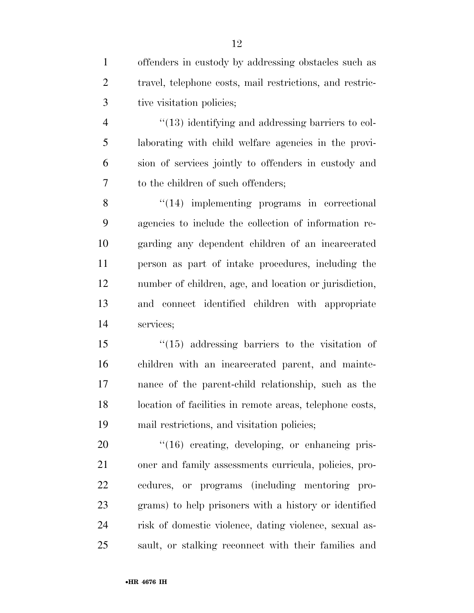| $\mathbf{1}$   | offenders in custody by addressing obstacles such as     |
|----------------|----------------------------------------------------------|
| $\overline{2}$ | travel, telephone costs, mail restrictions, and restric- |
| 3              | tive visitation policies;                                |
| $\overline{4}$ | "(13) identifying and addressing barriers to col-        |
| 5              | laborating with child welfare agencies in the provi-     |
| 6              | sion of services jointly to offenders in custody and     |
| 7              | to the children of such offenders;                       |
| 8              | $\lq(14)$ implementing programs in correctional          |
| 9              | agencies to include the collection of information re-    |
| 10             | garding any dependent children of an incarcerated        |
| 11             | person as part of intake procedures, including the       |
| 12             | number of children, age, and location or jurisdiction,   |
| 13             | and connect identified children with appropriate         |
| 14             | services;                                                |
| 15             | $\degree$ (15) addressing barriers to the visitation of  |
| 16             | children with an incarcerated parent, and mainte-        |
| 17             | nance of the parent-child relationship, such as the      |
| 18             | location of facilities in remote areas, telephone costs, |
| 19             | mail restrictions, and visitation policies;              |
| 20             | "(16) creating, developing, or enhancing pris-           |
| 21             | oner and family assessments curricula, policies, pro-    |
| 22             | cedures, or programs (including mentoring pro-           |
| 23             | grams) to help prisoners with a history or identified    |
| 24             | risk of domestic violence, dating violence, sexual as-   |
| 25             | sault, or stalking reconnect with their families and     |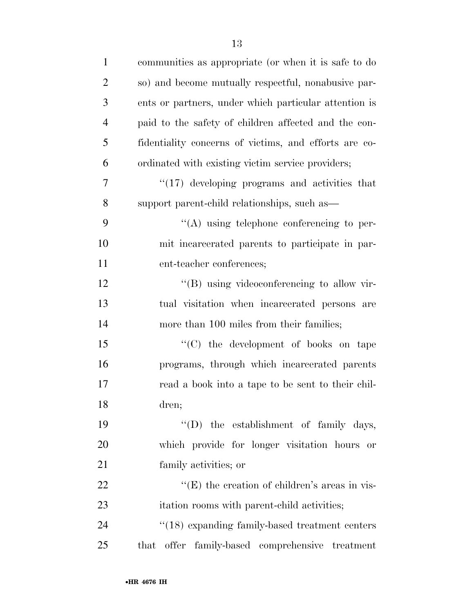| $\mathbf{1}$   | communities as appropriate (or when it is safe to do  |
|----------------|-------------------------------------------------------|
| $\overline{2}$ | so) and become mutually respectful, nonabusive par-   |
| 3              | ents or partners, under which particular attention is |
| $\overline{4}$ | paid to the safety of children affected and the con-  |
| 5              | fidentiality concerns of victims, and efforts are co- |
| 6              | ordinated with existing victim service providers;     |
| 7              | $\lq(17)$ developing programs and activities that     |
| 8              | support parent-child relationships, such as—          |
| 9              | $\lq\lq$ using telephone conferencing to per-         |
| 10             | mit incarcerated parents to participate in par-       |
| 11             | ent-teacher conferences;                              |
| 12             | $\lq\lq (B)$ using videoconferencing to allow vir-    |
| 13             | tual visitation when incarcerated persons are         |
| 14             | more than 100 miles from their families;              |
| 15             | "(C) the development of books on tape                 |
| 16             | programs, through which incarcerated parents          |
| 17             | read a book into a tape to be sent to their chil-     |
| 18             | dren;                                                 |
| 19             | $\lq\lq$ the establishment of family days,            |
| 20             | which provide for longer visitation hours or          |
| 21             | family activities; or                                 |
| 22             | "(E) the creation of children's areas in vis-         |
| 23             | itation rooms with parent-child activities;           |
| 24             | $\cdot$ (18) expanding family-based treatment centers |
| 25             | that offer family-based comprehensive treatment       |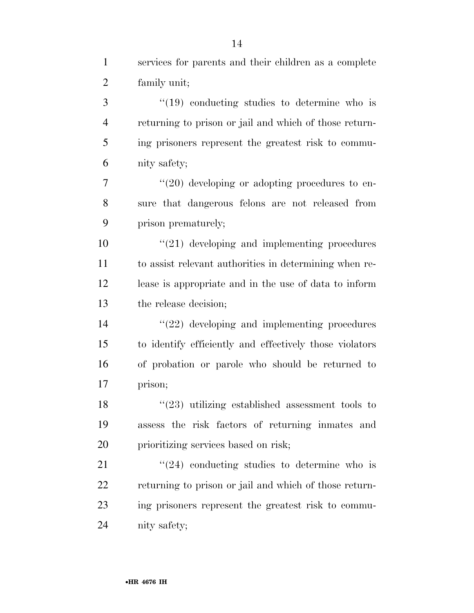| $\mathbf{1}$   | services for parents and their children as a complete   |
|----------------|---------------------------------------------------------|
| $\overline{2}$ | family unit;                                            |
| 3              | $\cdot$ (19) conducting studies to determine who is     |
| $\overline{4}$ | returning to prison or jail and which of those return-  |
| 5              | ing prisoners represent the greatest risk to commu-     |
| 6              | nity safety;                                            |
| 7              | $"(20)$ developing or adopting procedures to en-        |
| 8              | sure that dangerous felons are not released from        |
| 9              | prison prematurely;                                     |
| 10             | $"(21)$ developing and implementing procedures          |
| 11             | to assist relevant authorities in determining when re-  |
| 12             | lease is appropriate and in the use of data to inform   |
| 13             | the release decision;                                   |
| 14             | $\lq(22)$ developing and implementing procedures        |
| 15             | to identify efficiently and effectively those violators |
| 16             | of probation or parole who should be returned to        |
| 17             | prison;                                                 |
| 18             | $(23)$ utilizing established assessment tools to        |
| 19             | assess the risk factors of returning inmates and        |
| 20             | prioritizing services based on risk;                    |
| 21             | $\cdot\cdot(24)$ conducting studies to determine who is |
| 22             | returning to prison or jail and which of those return-  |
| 23             | ing prisoners represent the greatest risk to commu-     |
| 24             | nity safety;                                            |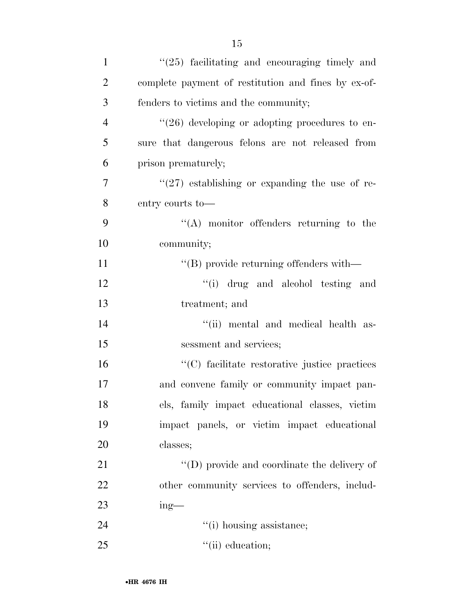| $\mathbf{1}$   | $(25)$ facilitating and encouraging timely and            |
|----------------|-----------------------------------------------------------|
| $\overline{2}$ | complete payment of restitution and fines by ex-of-       |
| 3              | fenders to victims and the community;                     |
| $\overline{4}$ | $\cdot\cdot(26)$ developing or adopting procedures to en- |
| 5              | sure that dangerous felons are not released from          |
| 6              | prison prematurely;                                       |
| $\overline{7}$ | $(27)$ establishing or expanding the use of re-           |
| 8              | entry courts to-                                          |
| 9              | $\lq\lq$ monitor offenders returning to the               |
| 10             | community;                                                |
| 11             | $\lq\lq$ provide returning offenders with —               |
| 12             | "(i) drug and alcohol testing and                         |
| 13             | treatment; and                                            |
| 14             | "(ii) mental and medical health as-                       |
| 15             | sessment and services;                                    |
| 16             | "(C) facilitate restorative justice practices             |
| 17             | and convene family or community impact pan-               |
| 18             | els, family impact educational classes, victim            |
| 19             | impact panels, or victim impact educational               |
| 20             | classes;                                                  |
| 21             | $\lq\lq$ (D) provide and coordinate the delivery of       |
| 22             | other community services to offenders, includ-            |
| 23             | $ing$ —                                                   |
| 24             | "(i) housing assistance;                                  |
| 25             | $\lq\lq$ (ii) education;                                  |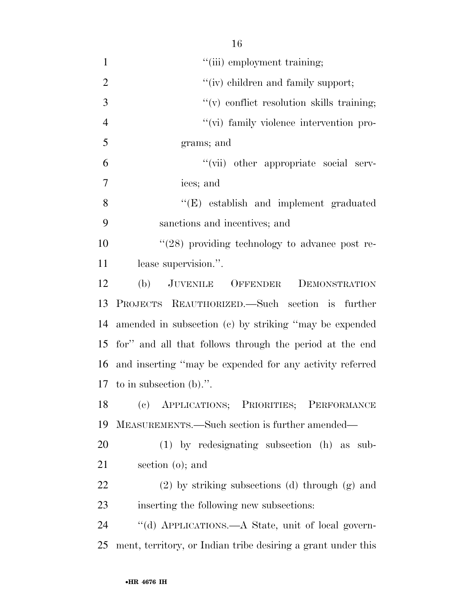|                | 16                                                       |
|----------------|----------------------------------------------------------|
| $\mathbf{1}$   | "(iii) employment training;                              |
| $\overline{2}$ | "(iv) children and family support;                       |
| 3              | "(v) conflict resolution skills training;                |
| $\overline{4}$ | "(vi) family violence intervention pro-                  |
| 5              | grams; and                                               |
| 6              | "(vii) other appropriate social serv-                    |
| 7              | ices; and                                                |
| 8              | "(E) establish and implement graduated                   |
| 9              | sanctions and incentives; and                            |
| 10             | $\cdot$ (28) providing technology to advance post re-    |
| 11             | lease supervision.".                                     |
| 12             | (b) JUVENILE OFFENDER<br>DEMONSTRATION                   |
| 13             | PROJECTS REAUTHORIZED.—Such section is further           |
| 14             | amended in subsection (c) by striking "may be expended   |
| 15             | for" and all that follows through the period at the end  |
| 16             | and inserting "may be expended for any activity referred |
|                | 17 to in subsection $(b)$ .".                            |
| 18             | (c) APPLICATIONS; PRIORITIES; PERFORMANCE                |
| 19             | MEASUREMENTS.—Such section is further amended—           |
| 20             | $(1)$ by redesignating subsection $(h)$ as sub-          |
| 21             | section $(o)$ ; and                                      |
| 22             | $(2)$ by striking subsections (d) through $(g)$ and      |
| 23             | inserting the following new subsections:                 |
| 24             | "(d) APPLICATIONS.—A State, unit of local govern-        |

ment, territory, or Indian tribe desiring a grant under this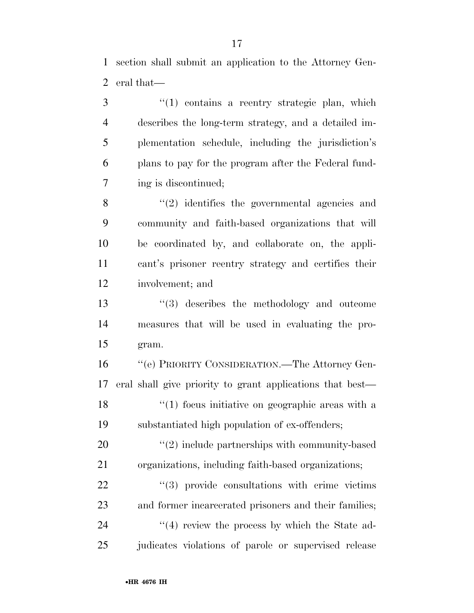section shall submit an application to the Attorney Gen-eral that—

3 ''(1) contains a reentry strategic plan, which describes the long-term strategy, and a detailed im- plementation schedule, including the jurisdiction's plans to pay for the program after the Federal fund-ing is discontinued;

8 "(2) identifies the governmental agencies and community and faith-based organizations that will be coordinated by, and collaborate on, the appli- cant's prisoner reentry strategy and certifies their involvement; and

 ''(3) describes the methodology and outcome measures that will be used in evaluating the pro-gram.

 ''(e) PRIORITY CONSIDERATION.—The Attorney Gen- eral shall give priority to grant applications that best— 18 ''(1) focus initiative on geographic areas with a substantiated high population of ex-offenders;

20  $\frac{1}{2}$  melude partnerships with community-based organizations, including faith-based organizations;

22  $(3)$  provide consultations with crime victims and former incarcerated prisoners and their families; 24 ''(4) review the process by which the State ad-25 judicates violations of parole or supervised release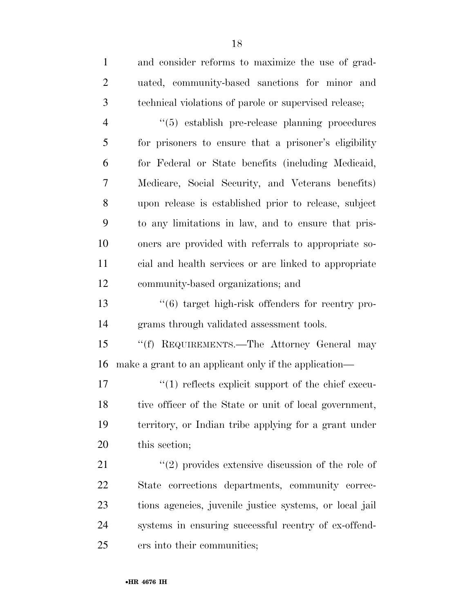| $\mathbf{1}$   | and consider reforms to maximize the use of grad-            |
|----------------|--------------------------------------------------------------|
| $\overline{2}$ | uated, community-based sanctions for minor and               |
| 3              | technical violations of parole or supervised release;        |
| $\overline{4}$ | $\cdot\cdot$ (5) establish pre-release planning procedures   |
| 5              | for prisoners to ensure that a prisoner's eligibility        |
| 6              | for Federal or State benefits (including Medicaid,           |
| 7              | Medicare, Social Security, and Veterans benefits)            |
| 8              | upon release is established prior to release, subject        |
| 9              | to any limitations in law, and to ensure that pris-          |
| 10             | oners are provided with referrals to appropriate so-         |
| 11             | cial and health services or are linked to appropriate        |
| 12             | community-based organizations; and                           |
| 13             | $\cdot\cdot$ (6) target high-risk offenders for reentry pro- |
| 14             | grams through validated assessment tools.                    |
| 15             | REQUIREMENTS.—The Attorney General may<br>``(f)              |
| 16             | make a grant to an applicant only if the application—        |
| 17             | $\lq(1)$ reflects explicit support of the chief execu-       |
| 18             | tive officer of the State or unit of local government,       |
| 19             | territory, or Indian tribe applying for a grant under        |
| 20             | this section;                                                |
| 21             | $\lq(2)$ provides extensive discussion of the role of        |
| 22             | State corrections departments, community correc-             |
| 23             | tions agencies, juvenile justice systems, or local jail      |
| 24             | systems in ensuring successful reentry of ex-offend-         |
| 25             | ers into their communities;                                  |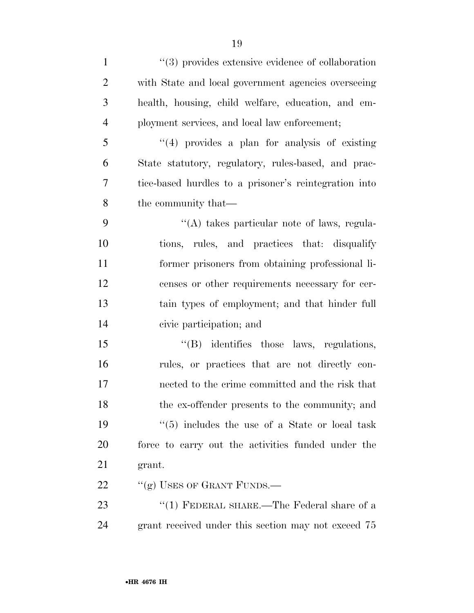| $\mathbf{1}$   | $\lq(3)$ provides extensive evidence of collaboration |
|----------------|-------------------------------------------------------|
| $\overline{2}$ | with State and local government agencies overseeing   |
| 3              | health, housing, child welfare, education, and em-    |
| $\overline{4}$ | ployment services, and local law enforcement;         |
| 5              | "(4) provides a plan for analysis of existing         |
| 6              | State statutory, regulatory, rules-based, and prac-   |
| 7              | tice-based hurdles to a prisoner's reintegration into |
| 8              | the community that—                                   |
| 9              | $\lq\lq$ takes particular note of laws, regula-       |
| 10             | tions, rules, and practices that: disqualify          |
| 11             | former prisoners from obtaining professional li-      |
| 12             | censes or other requirements necessary for cer-       |
| 13             | tain types of employment; and that hinder full        |
| 14             | civic participation; and                              |
| 15             | "(B) identifies those laws, regulations,              |
| 16             | rules, or practices that are not directly con-        |
| 17             | nected to the crime committed and the risk that       |
| 18             | the ex-offender presents to the community; and        |
| 19             | $(5)$ includes the use of a State or local task       |
| <b>20</b>      | force to carry out the activities funded under the    |
| 21             | grant.                                                |
| 22             | "(g) USES OF GRANT FUNDS.—                            |
| 23             | "(1) FEDERAL SHARE.—The Federal share of a            |
| 24             | grant received under this section may not exceed 75   |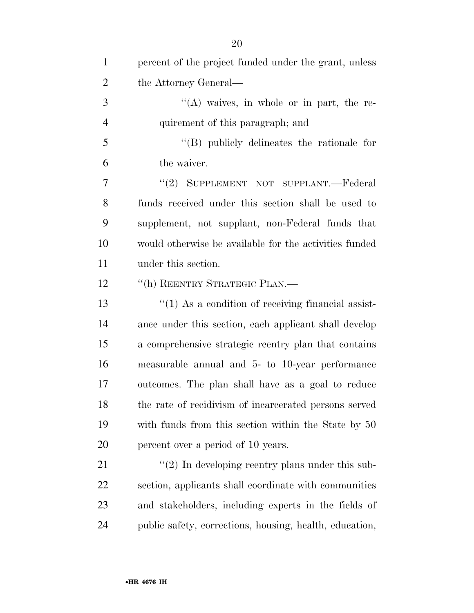| $\mathbf{1}$   | percent of the project funded under the grant, unless         |
|----------------|---------------------------------------------------------------|
| $\overline{2}$ | the Attorney General—                                         |
| 3              | $\lq\lq(A)$ waives, in whole or in part, the re-              |
| $\overline{4}$ | quirement of this paragraph; and                              |
| 5              | $\lq\lq$ publicly delineates the rationale for                |
| 6              | the waiver.                                                   |
| 7              | "(2) SUPPLEMENT NOT SUPPLANT.—Federal                         |
| 8              | funds received under this section shall be used to            |
| 9              | supplement, not supplant, non-Federal funds that              |
| 10             | would otherwise be available for the activities funded        |
| 11             | under this section.                                           |
| 12             | "(h) REENTRY STRATEGIC PLAN.—                                 |
| 13             | $\cdot\cdot(1)$ As a condition of receiving financial assist- |
| 14             | ance under this section, each applicant shall develop         |
| 15             | a comprehensive strategic reentry plan that contains          |
| 16             | measurable annual and 5- to 10-year performance               |
| 17             | outcomes. The plan shall have as a goal to reduce             |
| 18             | the rate of recidivism of incarcerated persons served         |
| 19             | with funds from this section within the State by 50           |
| 20             | percent over a period of 10 years.                            |
| 21             | $\lq(2)$ In developing reentry plans under this sub-          |
| 22             | section, applicants shall coordinate with communities         |
| 23             | and stakeholders, including experts in the fields of          |
| 24             | public safety, corrections, housing, health, education,       |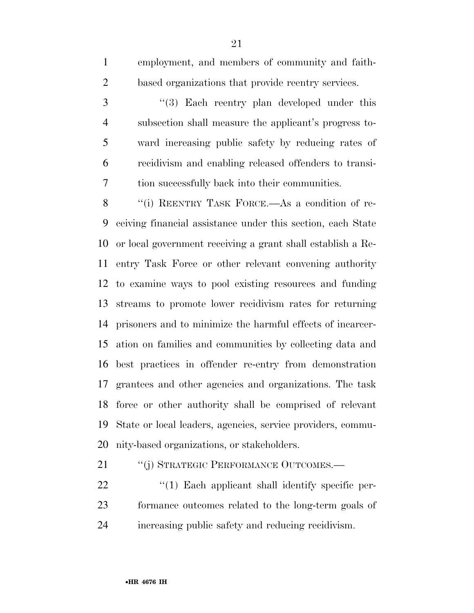subsection shall measure the applicant's progress to- ward increasing public safety by reducing rates of recidivism and enabling released offenders to transi- tion successfully back into their communities. 8 "(i) REENTRY TASK FORCE.—As a condition of re- ceiving financial assistance under this section, each State or local government receiving a grant shall establish a Re- entry Task Force or other relevant convening authority to examine ways to pool existing resources and funding streams to promote lower recidivism rates for returning prisoners and to minimize the harmful effects of incarcer- ation on families and communities by collecting data and best practices in offender re-entry from demonstration grantees and other agencies and organizations. The task force or other authority shall be comprised of relevant State or local leaders, agencies, service providers, commu-nity-based organizations, or stakeholders.

21 "(j) STRATEGIC PERFORMANCE OUTCOMES.—

22  $\frac{4}{1}$  Each applicant shall identify specific per- formance outcomes related to the long-term goals of increasing public safety and reducing recidivism.

employment, and members of community and faith-

3 "(3) Each reentry plan developed under this

based organizations that provide reentry services.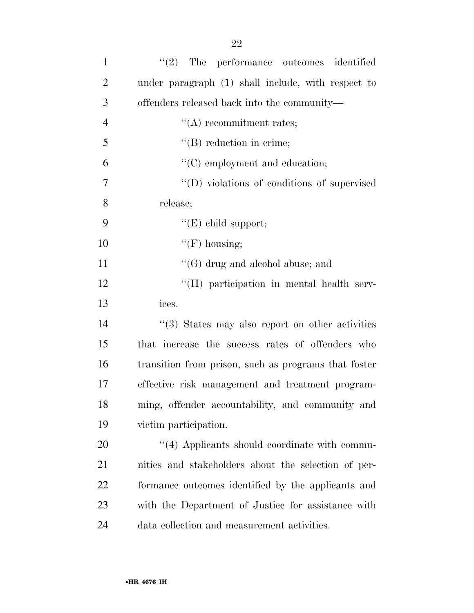| $\mathbf{1}$   | $\lq(2)$ The performance outcomes identified         |
|----------------|------------------------------------------------------|
| $\overline{2}$ | under paragraph (1) shall include, with respect to   |
| 3              | offenders released back into the community—          |
| $\overline{4}$ | $\lq\lq$ recommitment rates;                         |
| 5              | $\lq\lq$ reduction in crime;                         |
| 6              | "(C) employment and education;                       |
| 7              | "(D) violations of conditions of supervised          |
| 8              | release;                                             |
| 9              | " $(E)$ child support;                               |
| 10             | $\lq\lq(F)$ housing;                                 |
| 11             | $\lq\lq(G)$ drug and alcohol abuse; and              |
| 12             | "(H) participation in mental health serv-            |
| 13             | ices.                                                |
| 14             | "(3) States may also report on other activities      |
| 15             | that increase the success rates of offenders who     |
| 16             | transition from prison, such as programs that foster |
| 17             | effective risk management and treatment program-     |
| 18             | ming, offender accountability, and community and     |
| 19             | victim participation.                                |
| 20             | $\cdot$ (4) Applicants should coordinate with commu- |
| 21             | nities and stakeholders about the selection of per-  |
| 22             | formance outcomes identified by the applicants and   |
| 23             | with the Department of Justice for assistance with   |
| 24             | data collection and measurement activities.          |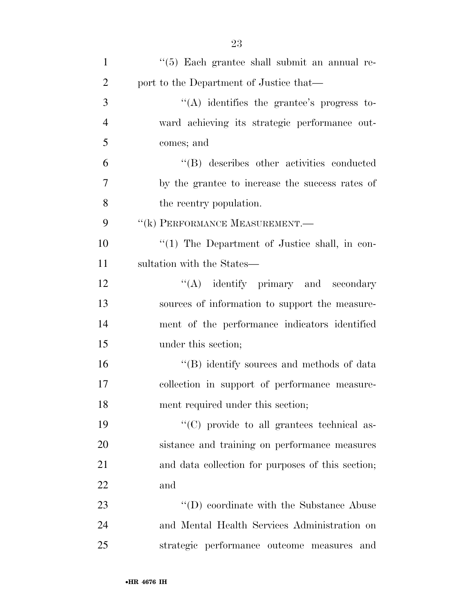| $\mathbf{1}$   | "(5) Each grantee shall submit an annual re-      |
|----------------|---------------------------------------------------|
| $\overline{2}$ | port to the Department of Justice that—           |
| 3              | $\lq\lq$ identifies the grantee's progress to-    |
| $\overline{4}$ | ward achieving its strategic performance out-     |
| 5              | comes; and                                        |
| 6              | "(B) describes other activities conducted         |
| 7              | by the grantee to increase the success rates of   |
| 8              | the reentry population.                           |
| 9              | "(k) PERFORMANCE MEASUREMENT.                     |
| 10             | "(1) The Department of Justice shall, in con-     |
| 11             | sultation with the States—                        |
| 12             | $\lq\lq$ identify primary and secondary           |
| 13             | sources of information to support the measure-    |
| 14             | ment of the performance indicators identified     |
| 15             | under this section;                               |
| 16             | "(B) identify sources and methods of data         |
| 17             | collection in support of performance measure-     |
| 18             | ment required under this section;                 |
| 19             | "(C) provide to all grantees technical as-        |
| 20             | sistance and training on performance measures     |
| 21             | and data collection for purposes of this section; |
| 22             | and                                               |
| 23             | "(D) coordinate with the Substance Abuse          |
| 24             | and Mental Health Services Administration on      |
| 25             | strategic performance outcome measures<br>and     |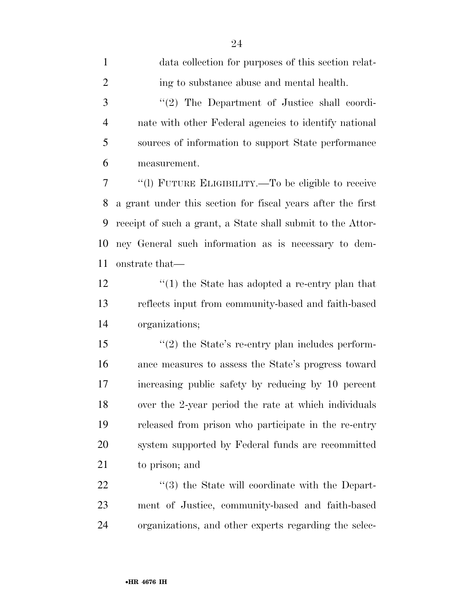| $\mathbf{1}$   | data collection for purposes of this section relat-             |
|----------------|-----------------------------------------------------------------|
| $\overline{2}$ | ing to substance abuse and mental health.                       |
| 3              | "(2) The Department of Justice shall coordi-                    |
| $\overline{4}$ | nate with other Federal agencies to identify national           |
| 5              | sources of information to support State performance             |
| 6              | measurement.                                                    |
| 7              | "(1) FUTURE ELIGIBILITY.—To be eligible to receive              |
| 8              | a grant under this section for fiscal years after the first     |
| 9              | receipt of such a grant, a State shall submit to the Attor-     |
| 10             | ney General such information as is necessary to dem-            |
| 11             | onstrate that—                                                  |
| 12             | $\cdot$ (1) the State has adopted a re-entry plan that          |
| 13             | reflects input from community-based and faith-based             |
| 14             | organizations;                                                  |
| 15             | $\lq(2)$ the State's re-entry plan includes perform-            |
| 16             | ance measures to assess the State's progress toward             |
| 17             | increasing public safety by reducing by 10 percent              |
| 18             | over the 2-year period the rate at which individuals            |
| 19             | released from prison who participate in the re-entry            |
| 20             | system supported by Federal funds are recommitted               |
| 21             | to prison; and                                                  |
| 22             | $\cdot\cdot\cdot(3)$ the State will coordinate with the Depart- |
| 23             | ment of Justice, community-based and faith-based                |
| 24             | organizations, and other experts regarding the selec-           |
|                |                                                                 |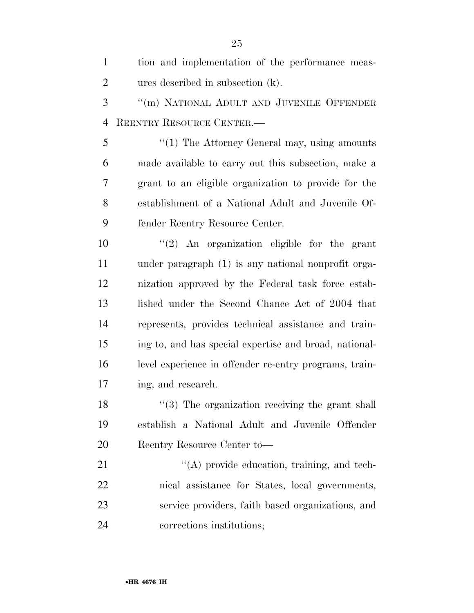| $\mathbf{1}$   | tion and implementation of the performance meas-       |
|----------------|--------------------------------------------------------|
| $\overline{2}$ | ures described in subsection (k).                      |
| 3              | "(m) NATIONAL ADULT AND JUVENILE OFFENDER              |
| $\overline{4}$ | REENTRY RESOURCE CENTER.                               |
| 5              | $\lq(1)$ The Attorney General may, using amounts       |
| 6              | made available to carry out this subsection, make a    |
| 7              | grant to an eligible organization to provide for the   |
| 8              | establishment of a National Adult and Juvenile Of-     |
| 9              | fender Reentry Resource Center.                        |
| 10             | " $(2)$ An organization eligible for the grant         |
| 11             | under paragraph (1) is any national nonprofit orga-    |
| 12             | nization approved by the Federal task force estab-     |
| 13             | lished under the Second Chance Act of 2004 that        |
| 14             | represents, provides technical assistance and train-   |
| 15             | ing to, and has special expertise and broad, national- |
| 16             | level experience in offender re-entry programs, train- |
| 17             | ing, and research.                                     |
| 18             | "(3) The organization receiving the grant shall        |
| 19             | establish a National Adult and Juvenile Offender       |
| 20             | Reentry Resource Center to-                            |
| 21             | $\lq\lq$ provide education, training, and tech-        |
| 22             | nical assistance for States, local governments,        |
| 23             | service providers, faith based organizations, and      |
| 24             | corrections institutions;                              |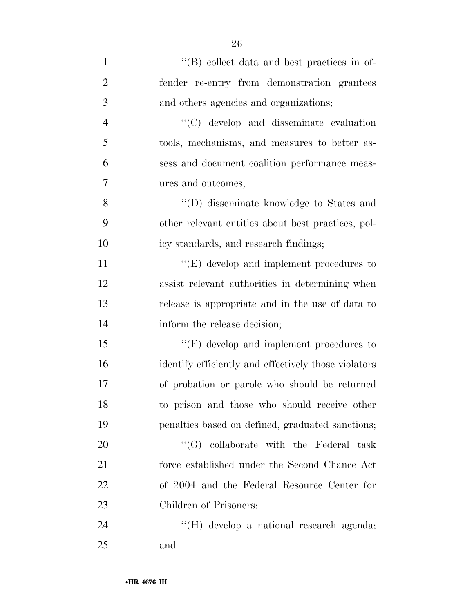| $\mathbf{1}$   | "(B) collect data and best practices in of-          |
|----------------|------------------------------------------------------|
| $\overline{2}$ | fender re-entry from demonstration grantees          |
| 3              | and others agencies and organizations;               |
| $\overline{4}$ | "(C) develop and disseminate evaluation              |
| 5              | tools, mechanisms, and measures to better as-        |
| 6              | sess and document coalition performance meas-        |
| 7              | ures and outcomes;                                   |
| 8              | $\lq\lq$ (D) disseminate knowledge to States and     |
| 9              | other relevant entities about best practices, pol-   |
| 10             | icy standards, and research findings;                |
| 11             | $\lq\lq(E)$ develop and implement procedures to      |
| 12             | assist relevant authorities in determining when      |
| 13             | release is appropriate and in the use of data to     |
| 14             | inform the release decision;                         |
| 15             | $\lq\lq(F)$ develop and implement procedures to      |
| 16             | identify efficiently and effectively those violators |
| 17             | of probation or parole who should be returned        |
| 18             | to prison and those who should receive other         |
| 19             | penalties based on defined, graduated sanctions;     |
| 20             | $\lq\lq (G)$ collaborate with the Federal task       |
| 21             | force established under the Second Chance Act        |
| 22             | of 2004 and the Federal Resource Center for          |
| 23             | Children of Prisoners;                               |
| 24             | "(H) develop a national research agenda;             |
| 25             | and                                                  |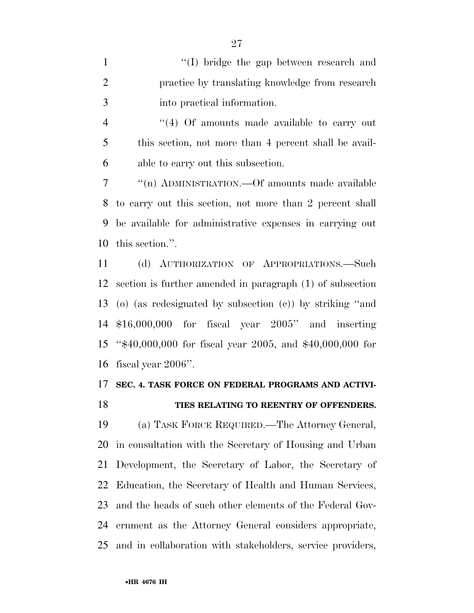1 ''(I) bridge the gap between research and practice by translating knowledge from research into practical information.

 ''(4) Of amounts made available to carry out this section, not more than 4 percent shall be avail-able to carry out this subsection.

 ''(n) ADMINISTRATION.—Of amounts made available to carry out this section, not more than 2 percent shall be available for administrative expenses in carrying out this section.''.

 (d) AUTHORIZATION OF APPROPRIATIONS.—Such section is further amended in paragraph (1) of subsection (o) (as redesignated by subsection (c)) by striking ''and \$16,000,000 for fiscal year 2005'' and inserting ''\$40,000,000 for fiscal year 2005, and \$40,000,000 for fiscal year 2006''.

### **SEC. 4. TASK FORCE ON FEDERAL PROGRAMS AND ACTIVI-**

#### **TIES RELATING TO REENTRY OF OFFENDERS.**

 (a) TASK FORCE REQUIRED.—The Attorney General, in consultation with the Secretary of Housing and Urban Development, the Secretary of Labor, the Secretary of Education, the Secretary of Health and Human Services, and the heads of such other elements of the Federal Gov- ernment as the Attorney General considers appropriate, and in collaboration with stakeholders, service providers,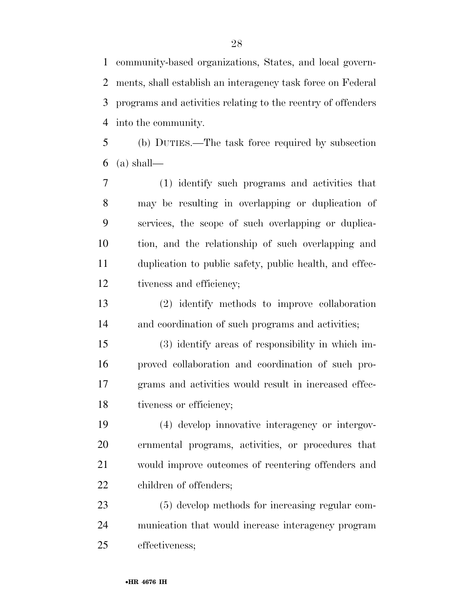community-based organizations, States, and local govern- ments, shall establish an interagency task force on Federal programs and activities relating to the reentry of offenders into the community.

 (b) DUTIES.—The task force required by subsection 6 (a) shall—

 (1) identify such programs and activities that may be resulting in overlapping or duplication of services, the scope of such overlapping or duplica- tion, and the relationship of such overlapping and duplication to public safety, public health, and effec-tiveness and efficiency;

 (2) identify methods to improve collaboration and coordination of such programs and activities;

 (3) identify areas of responsibility in which im- proved collaboration and coordination of such pro- grams and activities would result in increased effec-18 tiveness or efficiency;

 (4) develop innovative interagency or intergov- ernmental programs, activities, or procedures that would improve outcomes of reentering offenders and children of offenders;

 (5) develop methods for increasing regular com- munication that would increase interagency program effectiveness;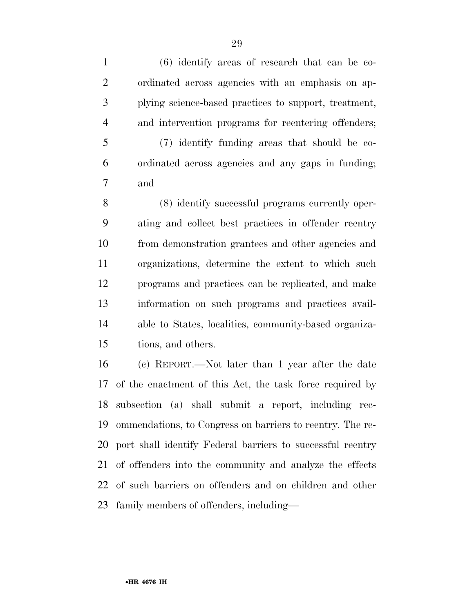(6) identify areas of research that can be co- ordinated across agencies with an emphasis on ap- plying science-based practices to support, treatment, and intervention programs for reentering offenders; (7) identify funding areas that should be co- ordinated across agencies and any gaps in funding; and (8) identify successful programs currently oper- ating and collect best practices in offender reentry from demonstration grantees and other agencies and organizations, determine the extent to which such programs and practices can be replicated, and make information on such programs and practices avail- able to States, localities, community-based organiza-tions, and others.

 (c) REPORT.—Not later than 1 year after the date of the enactment of this Act, the task force required by subsection (a) shall submit a report, including rec- ommendations, to Congress on barriers to reentry. The re- port shall identify Federal barriers to successful reentry of offenders into the community and analyze the effects of such barriers on offenders and on children and other family members of offenders, including—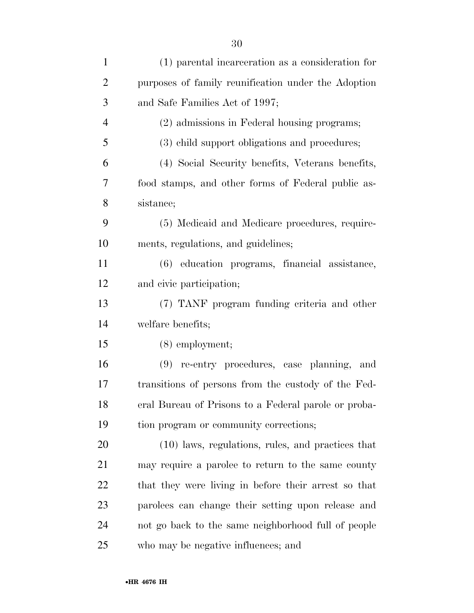| $\mathbf{1}$   | (1) parental incarceration as a consideration for    |
|----------------|------------------------------------------------------|
| $\overline{2}$ | purposes of family reunification under the Adoption  |
| 3              | and Safe Families Act of 1997;                       |
| $\overline{4}$ | (2) admissions in Federal housing programs;          |
| 5              | (3) child support obligations and procedures;        |
| 6              | (4) Social Security benefits, Veterans benefits,     |
| 7              | food stamps, and other forms of Federal public as-   |
| 8              | sistance;                                            |
| 9              | (5) Medicaid and Medicare procedures, require-       |
| 10             | ments, regulations, and guidelines;                  |
| 11             | (6) education programs, financial assistance,        |
| 12             | and civic participation;                             |
| 13             | (7) TANF program funding criteria and other          |
| 14             | welfare benefits;                                    |
| 15             | $(8)$ employment;                                    |
| 16             | (9) re-entry procedures, case planning, and          |
| 17             | transitions of persons from the custody of the Fed-  |
| 18             | eral Bureau of Prisons to a Federal parole or proba- |
| 19             | tion program or community corrections;               |
| 20             | (10) laws, regulations, rules, and practices that    |
| 21             | may require a parolee to return to the same county   |
| 22             | that they were living in before their arrest so that |
| 23             | parolees can change their setting upon release and   |
| 24             | not go back to the same neighborhood full of people  |
| 25             | who may be negative influences; and                  |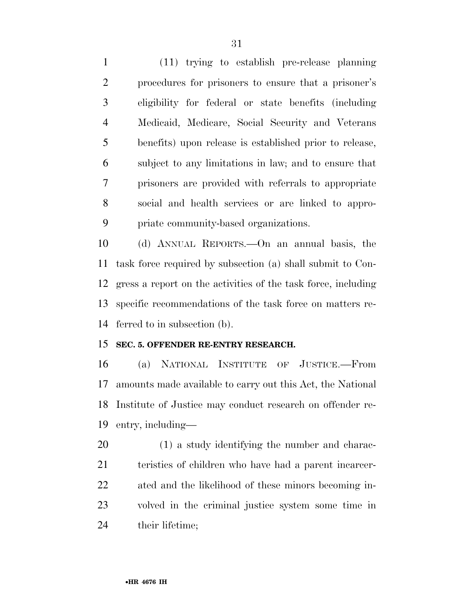(11) trying to establish pre-release planning procedures for prisoners to ensure that a prisoner's eligibility for federal or state benefits (including Medicaid, Medicare, Social Security and Veterans benefits) upon release is established prior to release, subject to any limitations in law; and to ensure that prisoners are provided with referrals to appropriate social and health services or are linked to appro-priate community-based organizations.

 (d) ANNUAL REPORTS.—On an annual basis, the task force required by subsection (a) shall submit to Con- gress a report on the activities of the task force, including specific recommendations of the task force on matters re-ferred to in subsection (b).

### **SEC. 5. OFFENDER RE-ENTRY RESEARCH.**

 (a) NATIONAL INSTITUTE OF JUSTICE.—From amounts made available to carry out this Act, the National Institute of Justice may conduct research on offender re-entry, including—

 (1) a study identifying the number and charac- teristics of children who have had a parent incarcer- ated and the likelihood of these minors becoming in- volved in the criminal justice system some time in 24 their lifetime;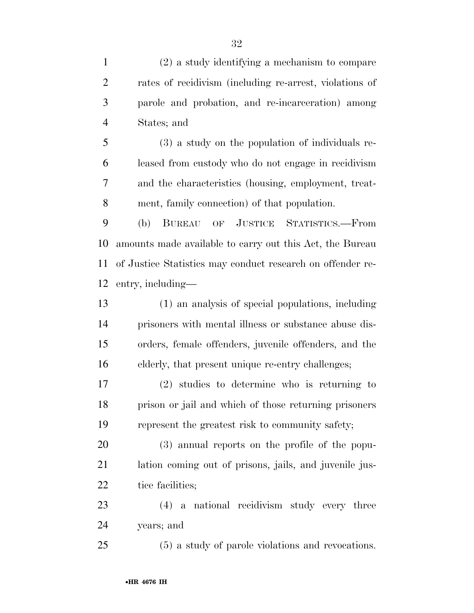(2) a study identifying a mechanism to compare rates of recidivism (including re-arrest, violations of parole and probation, and re-incarceration) among States; and

 (3) a study on the population of individuals re- leased from custody who do not engage in recidivism and the characteristics (housing, employment, treat-ment, family connection) of that population.

 (b) BUREAU OF JUSTICE STATISTICS.—From amounts made available to carry out this Act, the Bureau of Justice Statistics may conduct research on offender re-entry, including—

 (1) an analysis of special populations, including prisoners with mental illness or substance abuse dis- orders, female offenders, juvenile offenders, and the elderly, that present unique re-entry challenges;

 (2) studies to determine who is returning to prison or jail and which of those returning prisoners represent the greatest risk to community safety;

 (3) annual reports on the profile of the popu- lation coming out of prisons, jails, and juvenile jus-22 tice facilities;

 (4) a national recidivism study every three years; and

(5) a study of parole violations and revocations.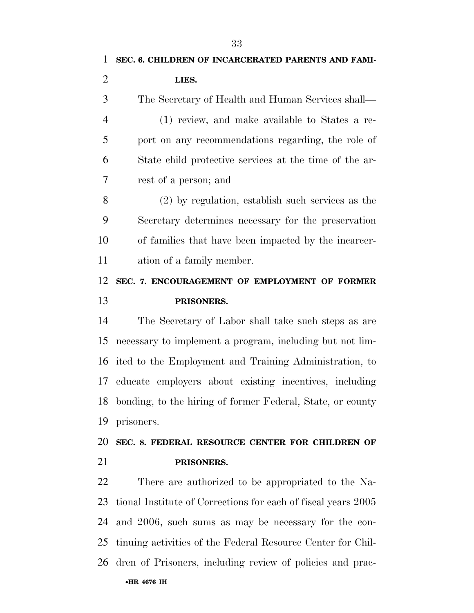| $\mathbf{1}$         | SEC. 6. CHILDREN OF INCARCERATED PARENTS AND FAMI-            |
|----------------------|---------------------------------------------------------------|
| $\overline{2}$       | LIES.                                                         |
| 3                    | The Secretary of Health and Human Services shall—             |
| $\overline{4}$       | (1) review, and make available to States a re-                |
| 5                    | port on any recommendations regarding, the role of            |
| 6                    | State child protective services at the time of the ar-        |
| $\overline{7}$       | rest of a person; and                                         |
| 8                    | $(2)$ by regulation, establish such services as the           |
| 9                    | Secretary determines necessary for the preservation           |
| 10                   | of families that have been impacted by the incarcer-          |
| 11                   | ation of a family member.                                     |
| 12                   | SEC. 7. ENCOURAGEMENT OF EMPLOYMENT OF FORMER                 |
| 13                   | PRISONERS.                                                    |
| 14                   | The Secretary of Labor shall take such steps as are           |
| 15                   | necessary to implement a program, including but not lim-      |
|                      | 16 ited to the Employment and Training Administration, to     |
| 17                   | educate employers about existing incentives, including        |
|                      |                                                               |
|                      | 18 bonding, to the hiring of former Federal, State, or county |
|                      | prisoners.                                                    |
|                      | SEC. 8. FEDERAL RESOURCE CENTER FOR CHILDREN OF               |
|                      | PRISONERS.                                                    |
| 19<br>20<br>21<br>22 | There are authorized to be appropriated to the Na-            |
| 23                   | tional Institute of Corrections for each of fiscal years 2005 |
| 24                   | and 2006, such sums as may be necessary for the con-          |
| 25                   | tinuing activities of the Federal Resource Center for Chil-   |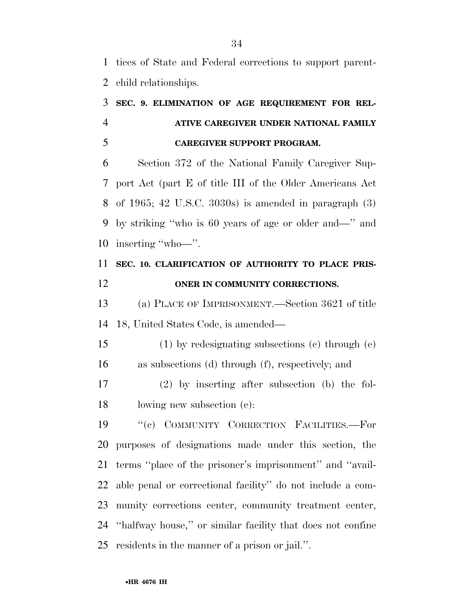tices of State and Federal corrections to support parent-child relationships.

## **SEC. 9. ELIMINATION OF AGE REQUIREMENT FOR REL- ATIVE CAREGIVER UNDER NATIONAL FAMILY CAREGIVER SUPPORT PROGRAM.**

 Section 372 of the National Family Caregiver Sup- port Act (part E of title III of the Older Americans Act of 1965; 42 U.S.C. 3030s) is amended in paragraph (3) by striking ''who is 60 years of age or older and—'' and inserting ''who—''.

## **SEC. 10. CLARIFICATION OF AUTHORITY TO PLACE PRIS-ONER IN COMMUNITY CORRECTIONS.**

 (a) PLACE OF IMPRISONMENT.—Section 3621 of title 18, United States Code, is amended—

 (1) by redesignating subsections (c) through (e) as subsections (d) through (f), respectively; and

 (2) by inserting after subsection (b) the fol-lowing new subsection (c):

 ''(c) COMMUNITY CORRECTION FACILITIES.—For purposes of designations made under this section, the terms ''place of the prisoner's imprisonment'' and ''avail- able penal or correctional facility'' do not include a com- munity corrections center, community treatment center, ''halfway house,'' or similar facility that does not confine residents in the manner of a prison or jail.''.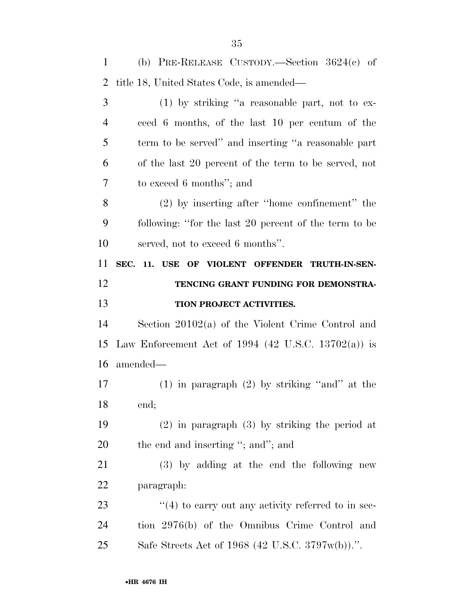| $\mathbf{1}$   | (b) PRE-RELEASE CUSTODY.—Section $3624(c)$ of          |
|----------------|--------------------------------------------------------|
| $\overline{2}$ | title 18, United States Code, is amended—              |
| 3              | $(1)$ by striking "a reasonable part, not to ex-       |
| $\overline{4}$ | ceed 6 months, of the last 10 per centum of the        |
| 5              | term to be served" and inserting "a reasonable part    |
| 6              | of the last 20 percent of the term to be served, not   |
| 7              | to exceed 6 months"; and                               |
| 8              | $(2)$ by inserting after "home confinement" the        |
| 9              | following: "for the last 20 percent of the term to be  |
| 10             | served, not to exceed 6 months".                       |
| 11             | SEC. 11. USE OF VIOLENT OFFENDER TRUTH-IN-SEN-         |
| 12             | TENCING GRANT FUNDING FOR DEMONSTRA-                   |
| 13             | TION PROJECT ACTIVITIES.                               |
| 14             | Section $20102(a)$ of the Violent Crime Control and    |
| 15             | Law Enforcement Act of 1994 (42 U.S.C. 13702(a)) is    |
| 16             | amended—                                               |
| 17             | $(1)$ in paragraph $(2)$ by striking "and" at the      |
| 18             | end;                                                   |
| 19             | $(2)$ in paragraph $(3)$ by striking the period at     |
| 20             | the end and inserting "; and"; and                     |
| 21             | (3) by adding at the end the following new             |
| 22             | paragraph:                                             |
| 23             |                                                        |
|                | $\lq(4)$ to carry out any activity referred to in sec- |
| 24             | tion 2976(b) of the Omnibus Crime Control and          |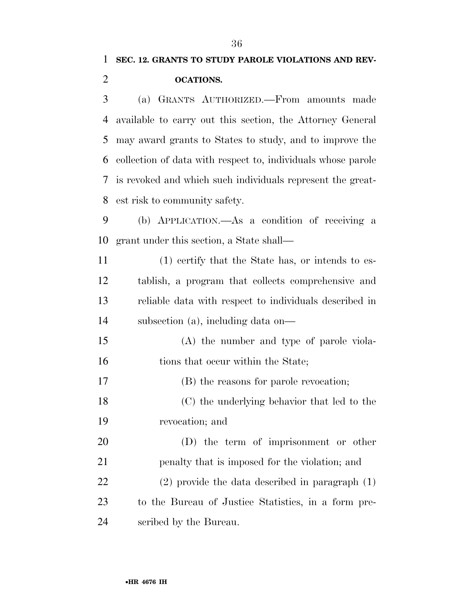(a) GRANTS AUTHORIZED.—From amounts made available to carry out this section, the Attorney General may award grants to States to study, and to improve the collection of data with respect to, individuals whose parole is revoked and which such individuals represent the great-est risk to community safety.

 (b) APPLICATION.—As a condition of receiving a grant under this section, a State shall—

 (1) certify that the State has, or intends to es- tablish, a program that collects comprehensive and reliable data with respect to individuals described in subsection (a), including data on—

 (A) the number and type of parole viola-16 tions that occur within the State;

(B) the reasons for parole revocation;

 (C) the underlying behavior that led to the revocation; and

 (D) the term of imprisonment or other penalty that is imposed for the violation; and (2) provide the data described in paragraph (1) to the Bureau of Justice Statistics, in a form pre-scribed by the Bureau.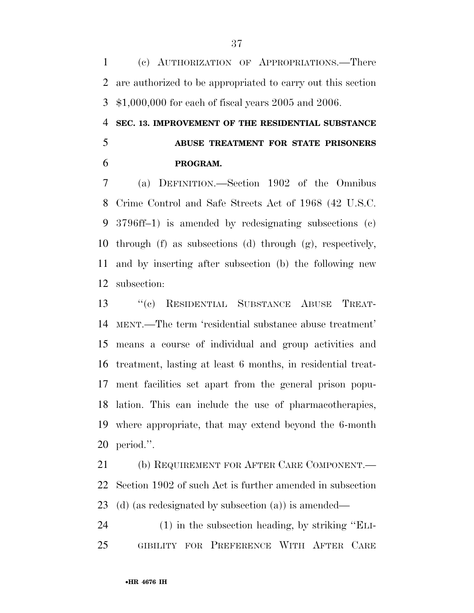(c) AUTHORIZATION OF APPROPRIATIONS.—There are authorized to be appropriated to carry out this section \$1,000,000 for each of fiscal years 2005 and 2006.

 **SEC. 13. IMPROVEMENT OF THE RESIDENTIAL SUBSTANCE ABUSE TREATMENT FOR STATE PRISONERS PROGRAM.** 

 (a) DEFINITION.—Section 1902 of the Omnibus Crime Control and Safe Streets Act of 1968 (42 U.S.C. 3796ff–1) is amended by redesignating subsections (c) through (f) as subsections (d) through (g), respectively, and by inserting after subsection (b) the following new subsection:

 ''(c) RESIDENTIAL SUBSTANCE ABUSE TREAT- MENT.—The term 'residential substance abuse treatment' means a course of individual and group activities and treatment, lasting at least 6 months, in residential treat- ment facilities set apart from the general prison popu- lation. This can include the use of pharmacotherapies, where appropriate, that may extend beyond the 6-month period.''.

 (b) REQUIREMENT FOR AFTER CARE COMPONENT.— Section 1902 of such Act is further amended in subsection (d) (as redesignated by subsection (a)) is amended—

 (1) in the subsection heading, by striking ''ELI-GIBILITY FOR PREFERENCE WITH AFTER CARE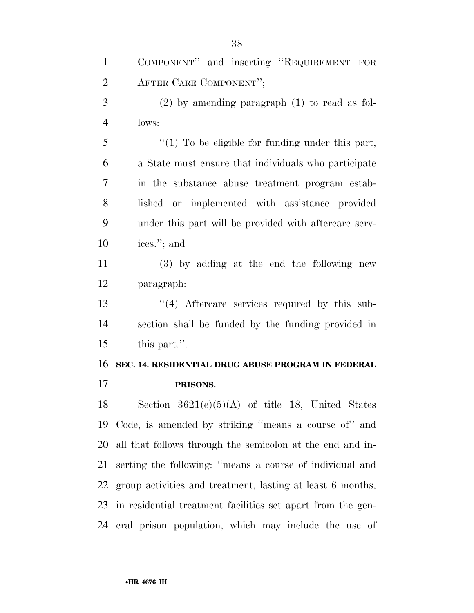COMPONENT'' and inserting ''REQUIREMENT FOR AFTER CARE COMPONENT''; (2) by amending paragraph (1) to read as fol- lows: 5 "(1) To be eligible for funding under this part, a State must ensure that individuals who participate in the substance abuse treatment program estab- lished or implemented with assistance provided under this part will be provided with aftercare serv- ices.''; and (3) by adding at the end the following new paragraph: 13 ''(4) Aftercare services required by this sub- section shall be funded by the funding provided in this part.''. **SEC. 14. RESIDENTIAL DRUG ABUSE PROGRAM IN FEDERAL PRISONS.**  18 Section  $3621(e)(5)(A)$  of title 18, United States Code, is amended by striking ''means a course of'' and all that follows through the semicolon at the end and in- serting the following: ''means a course of individual and group activities and treatment, lasting at least 6 months, in residential treatment facilities set apart from the gen-eral prison population, which may include the use of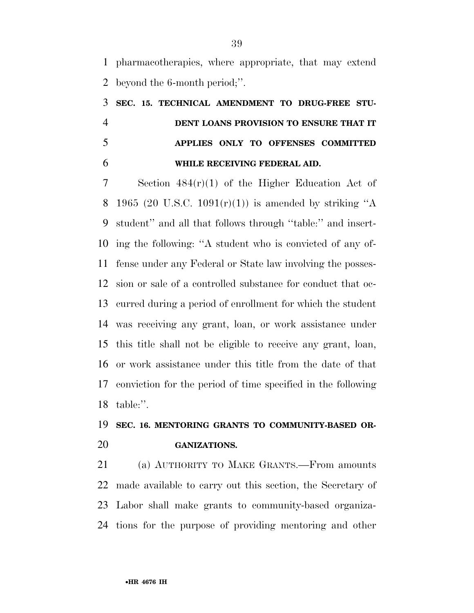pharmacotherapies, where appropriate, that may extend beyond the 6-month period;''.

# **SEC. 15. TECHNICAL AMENDMENT TO DRUG-FREE STU- DENT LOANS PROVISION TO ENSURE THAT IT APPLIES ONLY TO OFFENSES COMMITTED WHILE RECEIVING FEDERAL AID.**

 Section 484(r)(1) of the Higher Education Act of 8 1965 (20 U.S.C. 1091 $(r)(1)$ ) is amended by striking "A student'' and all that follows through ''table:'' and insert- ing the following: ''A student who is convicted of any of- fense under any Federal or State law involving the posses- sion or sale of a controlled substance for conduct that oc- curred during a period of enrollment for which the student was receiving any grant, loan, or work assistance under this title shall not be eligible to receive any grant, loan, or work assistance under this title from the date of that conviction for the period of time specified in the following table:''.

## **SEC. 16. MENTORING GRANTS TO COMMUNITY-BASED OR-GANIZATIONS.**

 (a) AUTHORITY TO MAKE GRANTS.—From amounts made available to carry out this section, the Secretary of Labor shall make grants to community-based organiza-tions for the purpose of providing mentoring and other